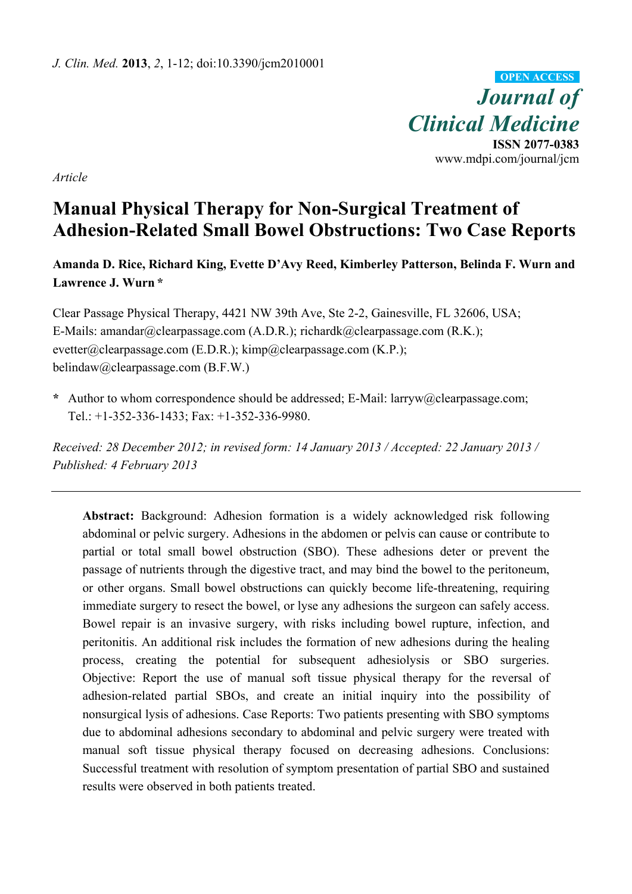*Journal of Clinical Medicine*  **ISSN 2077-0383**  www.mdpi.com/journal/jcm **OPEN ACCESS**

*Article* 

# **Manual Physical Therapy for Non-Surgical Treatment of Adhesion-Related Small Bowel Obstructions: Two Case Reports**

**Amanda D. Rice, Richard King, Evette D'Avy Reed, Kimberley Patterson, Belinda F. Wurn and Lawrence J. Wurn \*** 

Clear Passage Physical Therapy, 4421 NW 39th Ave, Ste 2-2, Gainesville, FL 32606, USA; E-Mails: amandar@clearpassage.com (A.D.R.); richardk@clearpassage.com (R.K.); evetter@clearpassage.com (E.D.R.); kimp@clearpassage.com (K.P.); belindaw@clearpassage.com (B.F.W.)

**\*** Author to whom correspondence should be addressed; E-Mail: larryw@clearpassage.com; Tel.: +1-352-336-1433; Fax: +1-352-336-9980.

*Received: 28 December 2012; in revised form: 14 January 2013 / Accepted: 22 January 2013 / Published: 4 February 2013* 

**Abstract:** Background: Adhesion formation is a widely acknowledged risk following abdominal or pelvic surgery. Adhesions in the abdomen or pelvis can cause or contribute to partial or total small bowel obstruction (SBO). These adhesions deter or prevent the passage of nutrients through the digestive tract, and may bind the bowel to the peritoneum, or other organs. Small bowel obstructions can quickly become life-threatening, requiring immediate surgery to resect the bowel, or lyse any adhesions the surgeon can safely access. Bowel repair is an invasive surgery, with risks including bowel rupture, infection, and peritonitis. An additional risk includes the formation of new adhesions during the healing process, creating the potential for subsequent adhesiolysis or SBO surgeries. Objective: Report the use of manual soft tissue physical therapy for the reversal of adhesion-related partial SBOs, and create an initial inquiry into the possibility of nonsurgical lysis of adhesions. Case Reports: Two patients presenting with SBO symptoms due to abdominal adhesions secondary to abdominal and pelvic surgery were treated with manual soft tissue physical therapy focused on decreasing adhesions. Conclusions: Successful treatment with resolution of symptom presentation of partial SBO and sustained results were observed in both patients treated.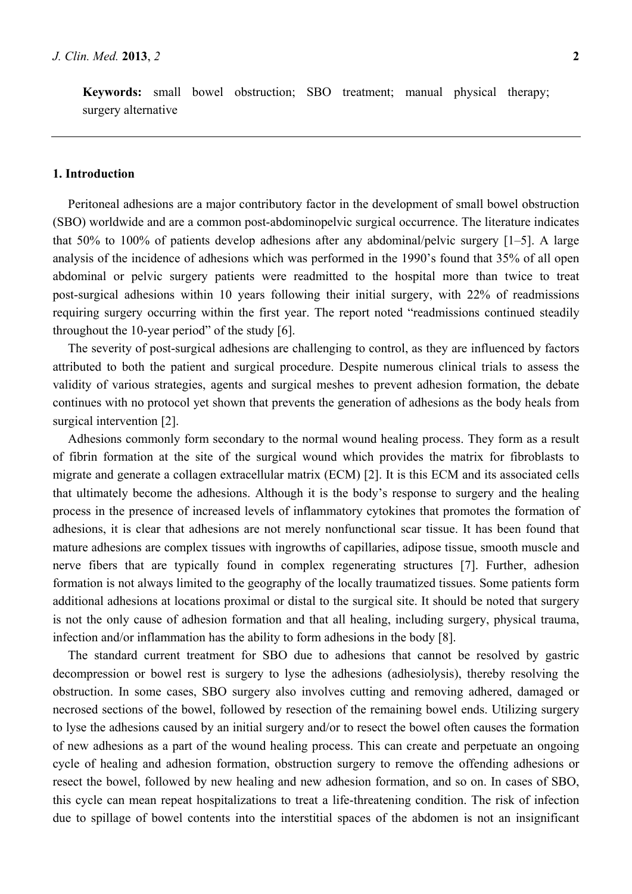**Keywords:** small bowel obstruction; SBO treatment; manual physical therapy; surgery alternative

#### **1. Introduction**

Peritoneal adhesions are a major contributory factor in the development of small bowel obstruction (SBO) worldwide and are a common post-abdominopelvic surgical occurrence. The literature indicates that 50% to 100% of patients develop adhesions after any abdominal/pelvic surgery [1–5]. A large analysis of the incidence of adhesions which was performed in the 1990's found that 35% of all open abdominal or pelvic surgery patients were readmitted to the hospital more than twice to treat post-surgical adhesions within 10 years following their initial surgery, with 22% of readmissions requiring surgery occurring within the first year. The report noted "readmissions continued steadily throughout the 10-year period" of the study [6].

The severity of post-surgical adhesions are challenging to control, as they are influenced by factors attributed to both the patient and surgical procedure. Despite numerous clinical trials to assess the validity of various strategies, agents and surgical meshes to prevent adhesion formation, the debate continues with no protocol yet shown that prevents the generation of adhesions as the body heals from surgical intervention [2].

Adhesions commonly form secondary to the normal wound healing process. They form as a result of fibrin formation at the site of the surgical wound which provides the matrix for fibroblasts to migrate and generate a collagen extracellular matrix (ECM) [2]. It is this ECM and its associated cells that ultimately become the adhesions. Although it is the body's response to surgery and the healing process in the presence of increased levels of inflammatory cytokines that promotes the formation of adhesions, it is clear that adhesions are not merely nonfunctional scar tissue. It has been found that mature adhesions are complex tissues with ingrowths of capillaries, adipose tissue, smooth muscle and nerve fibers that are typically found in complex regenerating structures [7]. Further, adhesion formation is not always limited to the geography of the locally traumatized tissues. Some patients form additional adhesions at locations proximal or distal to the surgical site. It should be noted that surgery is not the only cause of adhesion formation and that all healing, including surgery, physical trauma, infection and/or inflammation has the ability to form adhesions in the body [8].

The standard current treatment for SBO due to adhesions that cannot be resolved by gastric decompression or bowel rest is surgery to lyse the adhesions (adhesiolysis), thereby resolving the obstruction. In some cases, SBO surgery also involves cutting and removing adhered, damaged or necrosed sections of the bowel, followed by resection of the remaining bowel ends. Utilizing surgery to lyse the adhesions caused by an initial surgery and/or to resect the bowel often causes the formation of new adhesions as a part of the wound healing process. This can create and perpetuate an ongoing cycle of healing and adhesion formation, obstruction surgery to remove the offending adhesions or resect the bowel, followed by new healing and new adhesion formation, and so on. In cases of SBO, this cycle can mean repeat hospitalizations to treat a life-threatening condition. The risk of infection due to spillage of bowel contents into the interstitial spaces of the abdomen is not an insignificant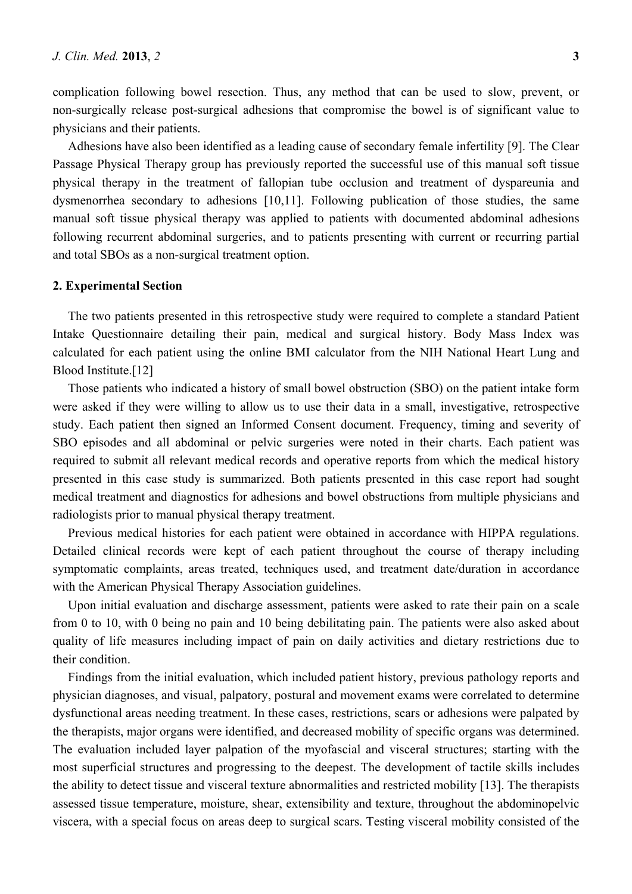complication following bowel resection. Thus, any method that can be used to slow, prevent, or non-surgically release post-surgical adhesions that compromise the bowel is of significant value to physicians and their patients.

Adhesions have also been identified as a leading cause of secondary female infertility [9]. The Clear Passage Physical Therapy group has previously reported the successful use of this manual soft tissue physical therapy in the treatment of fallopian tube occlusion and treatment of dyspareunia and dysmenorrhea secondary to adhesions [10,11]. Following publication of those studies, the same manual soft tissue physical therapy was applied to patients with documented abdominal adhesions following recurrent abdominal surgeries, and to patients presenting with current or recurring partial and total SBOs as a non-surgical treatment option.

#### **2. Experimental Section**

The two patients presented in this retrospective study were required to complete a standard Patient Intake Questionnaire detailing their pain, medical and surgical history. Body Mass Index was calculated for each patient using the online BMI calculator from the NIH National Heart Lung and Blood Institute.[12]

Those patients who indicated a history of small bowel obstruction (SBO) on the patient intake form were asked if they were willing to allow us to use their data in a small, investigative, retrospective study. Each patient then signed an Informed Consent document. Frequency, timing and severity of SBO episodes and all abdominal or pelvic surgeries were noted in their charts. Each patient was required to submit all relevant medical records and operative reports from which the medical history presented in this case study is summarized. Both patients presented in this case report had sought medical treatment and diagnostics for adhesions and bowel obstructions from multiple physicians and radiologists prior to manual physical therapy treatment.

Previous medical histories for each patient were obtained in accordance with HIPPA regulations. Detailed clinical records were kept of each patient throughout the course of therapy including symptomatic complaints, areas treated, techniques used, and treatment date/duration in accordance with the American Physical Therapy Association guidelines.

Upon initial evaluation and discharge assessment, patients were asked to rate their pain on a scale from 0 to 10, with 0 being no pain and 10 being debilitating pain. The patients were also asked about quality of life measures including impact of pain on daily activities and dietary restrictions due to their condition.

Findings from the initial evaluation, which included patient history, previous pathology reports and physician diagnoses, and visual, palpatory, postural and movement exams were correlated to determine dysfunctional areas needing treatment. In these cases, restrictions, scars or adhesions were palpated by the therapists, major organs were identified, and decreased mobility of specific organs was determined. The evaluation included layer palpation of the myofascial and visceral structures; starting with the most superficial structures and progressing to the deepest. The development of tactile skills includes the ability to detect tissue and visceral texture abnormalities and restricted mobility [13]. The therapists assessed tissue temperature, moisture, shear, extensibility and texture, throughout the abdominopelvic viscera, with a special focus on areas deep to surgical scars. Testing visceral mobility consisted of the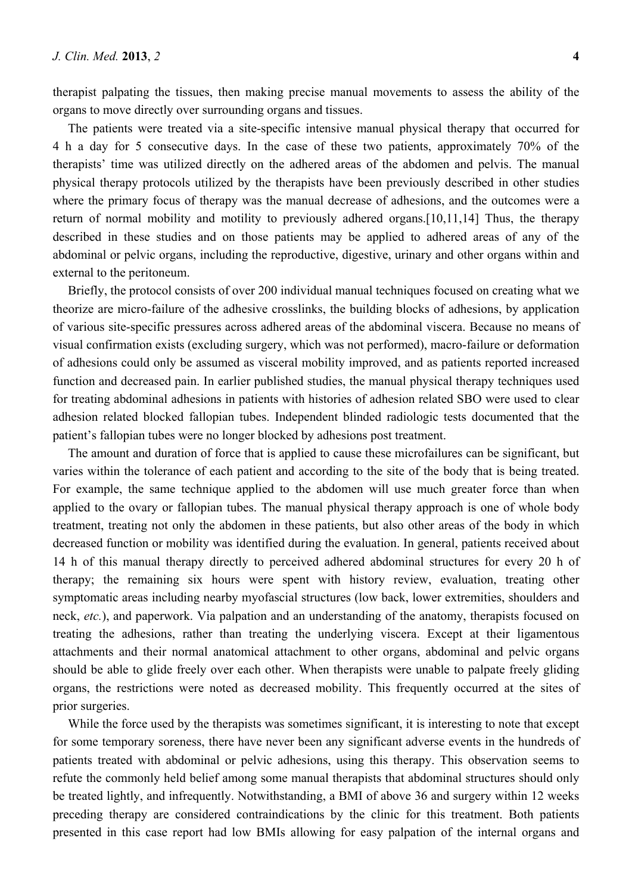therapist palpating the tissues, then making precise manual movements to assess the ability of the organs to move directly over surrounding organs and tissues.

The patients were treated via a site-specific intensive manual physical therapy that occurred for 4 h a day for 5 consecutive days. In the case of these two patients, approximately 70% of the therapists' time was utilized directly on the adhered areas of the abdomen and pelvis. The manual physical therapy protocols utilized by the therapists have been previously described in other studies where the primary focus of therapy was the manual decrease of adhesions, and the outcomes were a return of normal mobility and motility to previously adhered organs.[10,11,14] Thus, the therapy described in these studies and on those patients may be applied to adhered areas of any of the abdominal or pelvic organs, including the reproductive, digestive, urinary and other organs within and external to the peritoneum.

Briefly, the protocol consists of over 200 individual manual techniques focused on creating what we theorize are micro-failure of the adhesive crosslinks, the building blocks of adhesions, by application of various site-specific pressures across adhered areas of the abdominal viscera. Because no means of visual confirmation exists (excluding surgery, which was not performed), macro-failure or deformation of adhesions could only be assumed as visceral mobility improved, and as patients reported increased function and decreased pain. In earlier published studies, the manual physical therapy techniques used for treating abdominal adhesions in patients with histories of adhesion related SBO were used to clear adhesion related blocked fallopian tubes. Independent blinded radiologic tests documented that the patient's fallopian tubes were no longer blocked by adhesions post treatment.

The amount and duration of force that is applied to cause these microfailures can be significant, but varies within the tolerance of each patient and according to the site of the body that is being treated. For example, the same technique applied to the abdomen will use much greater force than when applied to the ovary or fallopian tubes. The manual physical therapy approach is one of whole body treatment, treating not only the abdomen in these patients, but also other areas of the body in which decreased function or mobility was identified during the evaluation. In general, patients received about 14 h of this manual therapy directly to perceived adhered abdominal structures for every 20 h of therapy; the remaining six hours were spent with history review, evaluation, treating other symptomatic areas including nearby myofascial structures (low back, lower extremities, shoulders and neck, *etc.*), and paperwork. Via palpation and an understanding of the anatomy, therapists focused on treating the adhesions, rather than treating the underlying viscera. Except at their ligamentous attachments and their normal anatomical attachment to other organs, abdominal and pelvic organs should be able to glide freely over each other. When therapists were unable to palpate freely gliding organs, the restrictions were noted as decreased mobility. This frequently occurred at the sites of prior surgeries.

While the force used by the therapists was sometimes significant, it is interesting to note that except for some temporary soreness, there have never been any significant adverse events in the hundreds of patients treated with abdominal or pelvic adhesions, using this therapy. This observation seems to refute the commonly held belief among some manual therapists that abdominal structures should only be treated lightly, and infrequently. Notwithstanding, a BMI of above 36 and surgery within 12 weeks preceding therapy are considered contraindications by the clinic for this treatment. Both patients presented in this case report had low BMIs allowing for easy palpation of the internal organs and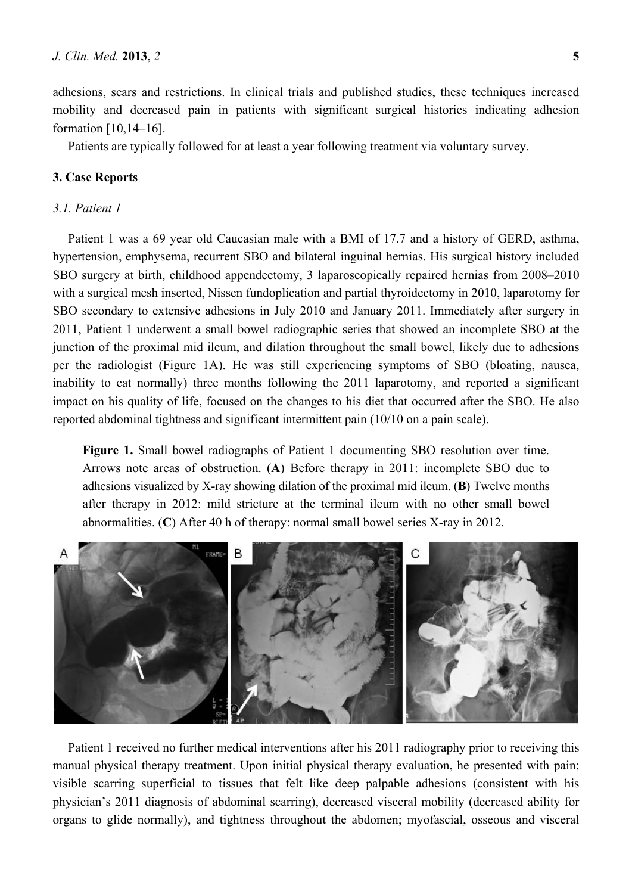adhesions, scars and restrictions. In clinical trials and published studies, these techniques increased mobility and decreased pain in patients with significant surgical histories indicating adhesion formation [10,14–16].

Patients are typically followed for at least a year following treatment via voluntary survey.

### **3. Case Reports**

#### *3.1. Patient 1*

Patient 1 was a 69 year old Caucasian male with a BMI of 17.7 and a history of GERD, asthma, hypertension, emphysema, recurrent SBO and bilateral inguinal hernias. His surgical history included SBO surgery at birth, childhood appendectomy, 3 laparoscopically repaired hernias from 2008–2010 with a surgical mesh inserted, Nissen fundoplication and partial thyroidectomy in 2010, laparotomy for SBO secondary to extensive adhesions in July 2010 and January 2011. Immediately after surgery in 2011, Patient 1 underwent a small bowel radiographic series that showed an incomplete SBO at the junction of the proximal mid ileum, and dilation throughout the small bowel, likely due to adhesions per the radiologist (Figure 1A). He was still experiencing symptoms of SBO (bloating, nausea, inability to eat normally) three months following the 2011 laparotomy, and reported a significant impact on his quality of life, focused on the changes to his diet that occurred after the SBO. He also reported abdominal tightness and significant intermittent pain (10/10 on a pain scale).

**Figure 1.** Small bowel radiographs of Patient 1 documenting SBO resolution over time. Arrows note areas of obstruction. (**A**) Before therapy in 2011: incomplete SBO due to adhesions visualized by X-ray showing dilation of the proximal mid ileum. (**B**) Twelve months after therapy in 2012: mild stricture at the terminal ileum with no other small bowel abnormalities. (**C**) After 40 h of therapy: normal small bowel series X-ray in 2012.



Patient 1 received no further medical interventions after his 2011 radiography prior to receiving this manual physical therapy treatment. Upon initial physical therapy evaluation, he presented with pain; visible scarring superficial to tissues that felt like deep palpable adhesions (consistent with his physician's 2011 diagnosis of abdominal scarring), decreased visceral mobility (decreased ability for organs to glide normally), and tightness throughout the abdomen; myofascial, osseous and visceral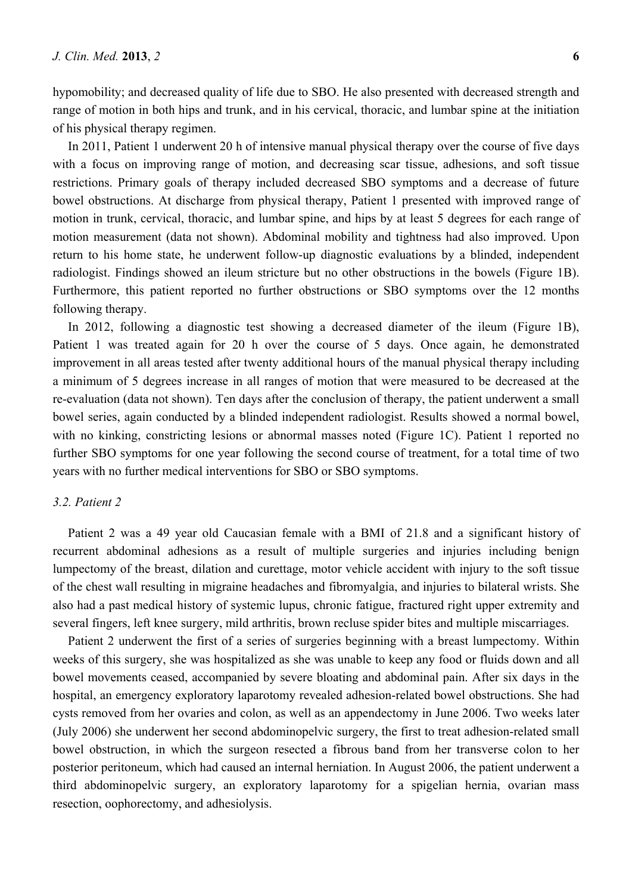hypomobility; and decreased quality of life due to SBO. He also presented with decreased strength and range of motion in both hips and trunk, and in his cervical, thoracic, and lumbar spine at the initiation of his physical therapy regimen.

In 2011, Patient 1 underwent 20 h of intensive manual physical therapy over the course of five days with a focus on improving range of motion, and decreasing scar tissue, adhesions, and soft tissue restrictions. Primary goals of therapy included decreased SBO symptoms and a decrease of future bowel obstructions. At discharge from physical therapy, Patient 1 presented with improved range of motion in trunk, cervical, thoracic, and lumbar spine, and hips by at least 5 degrees for each range of motion measurement (data not shown). Abdominal mobility and tightness had also improved. Upon return to his home state, he underwent follow-up diagnostic evaluations by a blinded, independent radiologist. Findings showed an ileum stricture but no other obstructions in the bowels (Figure 1B). Furthermore, this patient reported no further obstructions or SBO symptoms over the 12 months following therapy.

In 2012, following a diagnostic test showing a decreased diameter of the ileum (Figure 1B), Patient 1 was treated again for 20 h over the course of 5 days. Once again, he demonstrated improvement in all areas tested after twenty additional hours of the manual physical therapy including a minimum of 5 degrees increase in all ranges of motion that were measured to be decreased at the re-evaluation (data not shown). Ten days after the conclusion of therapy, the patient underwent a small bowel series, again conducted by a blinded independent radiologist. Results showed a normal bowel, with no kinking, constricting lesions or abnormal masses noted (Figure 1C). Patient 1 reported no further SBO symptoms for one year following the second course of treatment, for a total time of two years with no further medical interventions for SBO or SBO symptoms.

#### *3.2. Patient 2*

Patient 2 was a 49 year old Caucasian female with a BMI of 21.8 and a significant history of recurrent abdominal adhesions as a result of multiple surgeries and injuries including benign lumpectomy of the breast, dilation and curettage, motor vehicle accident with injury to the soft tissue of the chest wall resulting in migraine headaches and fibromyalgia, and injuries to bilateral wrists. She also had a past medical history of systemic lupus, chronic fatigue, fractured right upper extremity and several fingers, left knee surgery, mild arthritis, brown recluse spider bites and multiple miscarriages.

Patient 2 underwent the first of a series of surgeries beginning with a breast lumpectomy. Within weeks of this surgery, she was hospitalized as she was unable to keep any food or fluids down and all bowel movements ceased, accompanied by severe bloating and abdominal pain. After six days in the hospital, an emergency exploratory laparotomy revealed adhesion-related bowel obstructions. She had cysts removed from her ovaries and colon, as well as an appendectomy in June 2006. Two weeks later (July 2006) she underwent her second abdominopelvic surgery, the first to treat adhesion-related small bowel obstruction, in which the surgeon resected a fibrous band from her transverse colon to her posterior peritoneum, which had caused an internal herniation. In August 2006, the patient underwent a third abdominopelvic surgery, an exploratory laparotomy for a spigelian hernia, ovarian mass resection, oophorectomy, and adhesiolysis.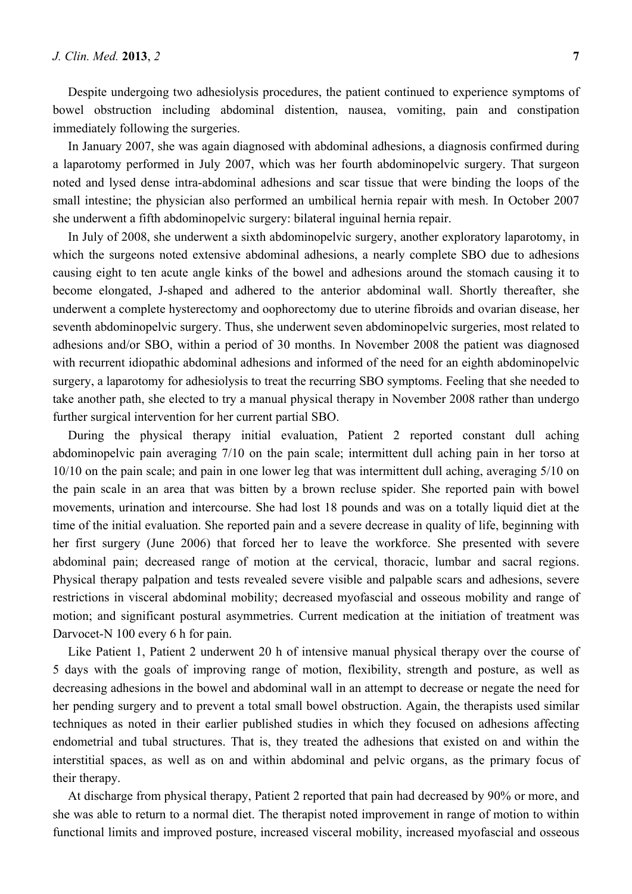Despite undergoing two adhesiolysis procedures, the patient continued to experience symptoms of bowel obstruction including abdominal distention, nausea, vomiting, pain and constipation immediately following the surgeries.

In January 2007, she was again diagnosed with abdominal adhesions, a diagnosis confirmed during a laparotomy performed in July 2007, which was her fourth abdominopelvic surgery. That surgeon noted and lysed dense intra-abdominal adhesions and scar tissue that were binding the loops of the small intestine; the physician also performed an umbilical hernia repair with mesh. In October 2007 she underwent a fifth abdominopelvic surgery: bilateral inguinal hernia repair.

In July of 2008, she underwent a sixth abdominopelvic surgery, another exploratory laparotomy, in which the surgeons noted extensive abdominal adhesions, a nearly complete SBO due to adhesions causing eight to ten acute angle kinks of the bowel and adhesions around the stomach causing it to become elongated, J-shaped and adhered to the anterior abdominal wall. Shortly thereafter, she underwent a complete hysterectomy and oophorectomy due to uterine fibroids and ovarian disease, her seventh abdominopelvic surgery. Thus, she underwent seven abdominopelvic surgeries, most related to adhesions and/or SBO, within a period of 30 months. In November 2008 the patient was diagnosed with recurrent idiopathic abdominal adhesions and informed of the need for an eighth abdominopelvic surgery, a laparotomy for adhesiolysis to treat the recurring SBO symptoms. Feeling that she needed to take another path, she elected to try a manual physical therapy in November 2008 rather than undergo further surgical intervention for her current partial SBO.

During the physical therapy initial evaluation, Patient 2 reported constant dull aching abdominopelvic pain averaging 7/10 on the pain scale; intermittent dull aching pain in her torso at 10/10 on the pain scale; and pain in one lower leg that was intermittent dull aching, averaging 5/10 on the pain scale in an area that was bitten by a brown recluse spider. She reported pain with bowel movements, urination and intercourse. She had lost 18 pounds and was on a totally liquid diet at the time of the initial evaluation. She reported pain and a severe decrease in quality of life, beginning with her first surgery (June 2006) that forced her to leave the workforce. She presented with severe abdominal pain; decreased range of motion at the cervical, thoracic, lumbar and sacral regions. Physical therapy palpation and tests revealed severe visible and palpable scars and adhesions, severe restrictions in visceral abdominal mobility; decreased myofascial and osseous mobility and range of motion; and significant postural asymmetries. Current medication at the initiation of treatment was Darvocet-N 100 every 6 h for pain.

Like Patient 1, Patient 2 underwent 20 h of intensive manual physical therapy over the course of 5 days with the goals of improving range of motion, flexibility, strength and posture, as well as decreasing adhesions in the bowel and abdominal wall in an attempt to decrease or negate the need for her pending surgery and to prevent a total small bowel obstruction. Again, the therapists used similar techniques as noted in their earlier published studies in which they focused on adhesions affecting endometrial and tubal structures. That is, they treated the adhesions that existed on and within the interstitial spaces, as well as on and within abdominal and pelvic organs, as the primary focus of their therapy.

At discharge from physical therapy, Patient 2 reported that pain had decreased by 90% or more, and she was able to return to a normal diet. The therapist noted improvement in range of motion to within functional limits and improved posture, increased visceral mobility, increased myofascial and osseous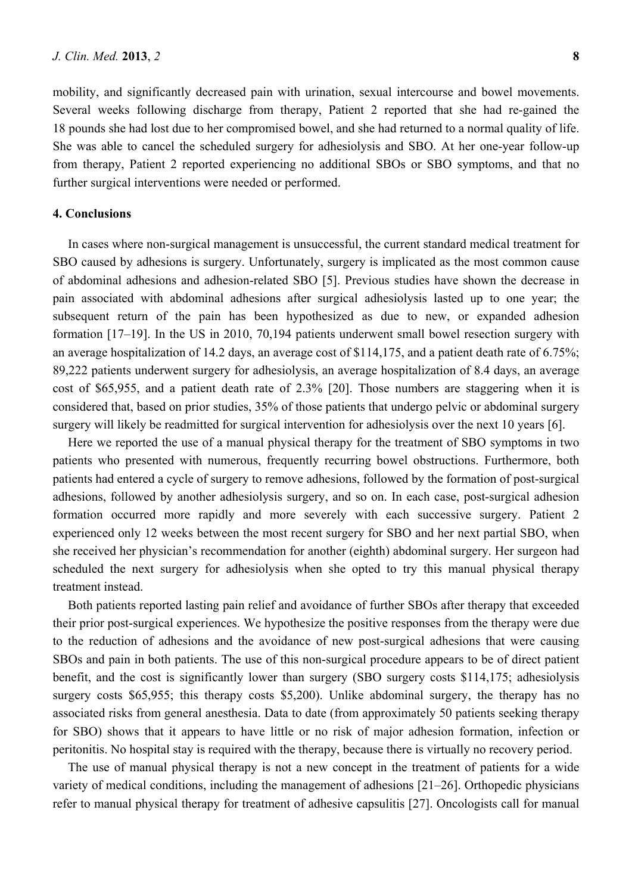mobility, and significantly decreased pain with urination, sexual intercourse and bowel movements. Several weeks following discharge from therapy, Patient 2 reported that she had re-gained the 18 pounds she had lost due to her compromised bowel, and she had returned to a normal quality of life. She was able to cancel the scheduled surgery for adhesiolysis and SBO. At her one-year follow-up from therapy, Patient 2 reported experiencing no additional SBOs or SBO symptoms, and that no further surgical interventions were needed or performed.

#### **4. Conclusions**

In cases where non-surgical management is unsuccessful, the current standard medical treatment for SBO caused by adhesions is surgery. Unfortunately, surgery is implicated as the most common cause of abdominal adhesions and adhesion-related SBO [5]. Previous studies have shown the decrease in pain associated with abdominal adhesions after surgical adhesiolysis lasted up to one year; the subsequent return of the pain has been hypothesized as due to new, or expanded adhesion formation [17–19]. In the US in 2010, 70,194 patients underwent small bowel resection surgery with an average hospitalization of 14.2 days, an average cost of \$114,175, and a patient death rate of 6.75%; 89,222 patients underwent surgery for adhesiolysis, an average hospitalization of 8.4 days, an average cost of \$65,955, and a patient death rate of 2.3% [20]. Those numbers are staggering when it is considered that, based on prior studies, 35% of those patients that undergo pelvic or abdominal surgery surgery will likely be readmitted for surgical intervention for adhesiolysis over the next 10 years [6].

Here we reported the use of a manual physical therapy for the treatment of SBO symptoms in two patients who presented with numerous, frequently recurring bowel obstructions. Furthermore, both patients had entered a cycle of surgery to remove adhesions, followed by the formation of post-surgical adhesions, followed by another adhesiolysis surgery, and so on. In each case, post-surgical adhesion formation occurred more rapidly and more severely with each successive surgery. Patient 2 experienced only 12 weeks between the most recent surgery for SBO and her next partial SBO, when she received her physician's recommendation for another (eighth) abdominal surgery. Her surgeon had scheduled the next surgery for adhesiolysis when she opted to try this manual physical therapy treatment instead.

Both patients reported lasting pain relief and avoidance of further SBOs after therapy that exceeded their prior post-surgical experiences. We hypothesize the positive responses from the therapy were due to the reduction of adhesions and the avoidance of new post-surgical adhesions that were causing SBOs and pain in both patients. The use of this non-surgical procedure appears to be of direct patient benefit, and the cost is significantly lower than surgery (SBO surgery costs \$114,175; adhesiolysis surgery costs \$65,955; this therapy costs \$5,200). Unlike abdominal surgery, the therapy has no associated risks from general anesthesia. Data to date (from approximately 50 patients seeking therapy for SBO) shows that it appears to have little or no risk of major adhesion formation, infection or peritonitis. No hospital stay is required with the therapy, because there is virtually no recovery period.

The use of manual physical therapy is not a new concept in the treatment of patients for a wide variety of medical conditions, including the management of adhesions [21–26]. Orthopedic physicians refer to manual physical therapy for treatment of adhesive capsulitis [27]. Oncologists call for manual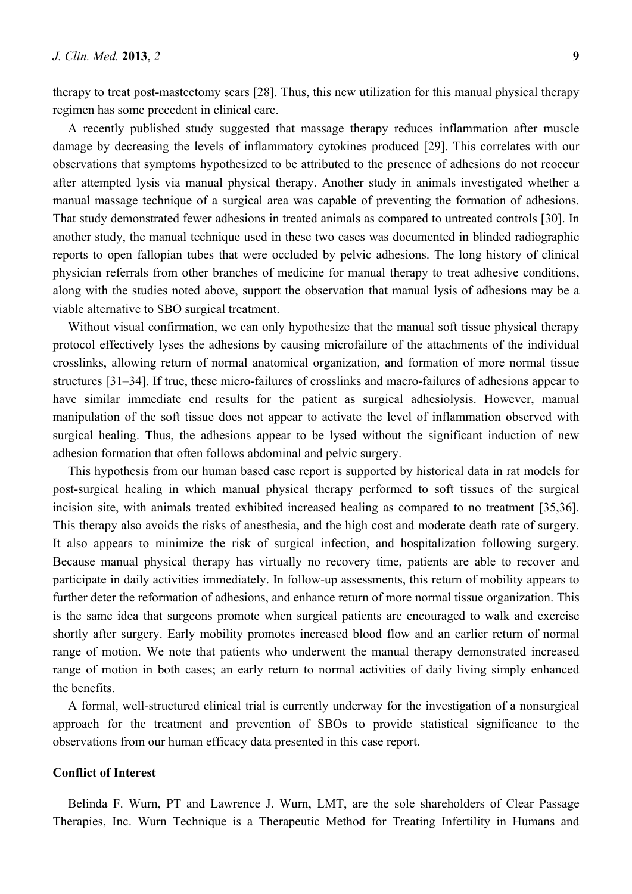therapy to treat post-mastectomy scars [28]. Thus, this new utilization for this manual physical therapy regimen has some precedent in clinical care.

A recently published study suggested that massage therapy reduces inflammation after muscle damage by decreasing the levels of inflammatory cytokines produced [29]. This correlates with our observations that symptoms hypothesized to be attributed to the presence of adhesions do not reoccur after attempted lysis via manual physical therapy. Another study in animals investigated whether a manual massage technique of a surgical area was capable of preventing the formation of adhesions. That study demonstrated fewer adhesions in treated animals as compared to untreated controls [30]. In another study, the manual technique used in these two cases was documented in blinded radiographic reports to open fallopian tubes that were occluded by pelvic adhesions. The long history of clinical physician referrals from other branches of medicine for manual therapy to treat adhesive conditions, along with the studies noted above, support the observation that manual lysis of adhesions may be a viable alternative to SBO surgical treatment.

Without visual confirmation, we can only hypothesize that the manual soft tissue physical therapy protocol effectively lyses the adhesions by causing microfailure of the attachments of the individual crosslinks, allowing return of normal anatomical organization, and formation of more normal tissue structures [31–34]. If true, these micro-failures of crosslinks and macro-failures of adhesions appear to have similar immediate end results for the patient as surgical adhesiolysis. However, manual manipulation of the soft tissue does not appear to activate the level of inflammation observed with surgical healing. Thus, the adhesions appear to be lysed without the significant induction of new adhesion formation that often follows abdominal and pelvic surgery.

This hypothesis from our human based case report is supported by historical data in rat models for post-surgical healing in which manual physical therapy performed to soft tissues of the surgical incision site, with animals treated exhibited increased healing as compared to no treatment [35,36]. This therapy also avoids the risks of anesthesia, and the high cost and moderate death rate of surgery. It also appears to minimize the risk of surgical infection, and hospitalization following surgery. Because manual physical therapy has virtually no recovery time, patients are able to recover and participate in daily activities immediately. In follow-up assessments, this return of mobility appears to further deter the reformation of adhesions, and enhance return of more normal tissue organization. This is the same idea that surgeons promote when surgical patients are encouraged to walk and exercise shortly after surgery. Early mobility promotes increased blood flow and an earlier return of normal range of motion. We note that patients who underwent the manual therapy demonstrated increased range of motion in both cases; an early return to normal activities of daily living simply enhanced the benefits.

A formal, well-structured clinical trial is currently underway for the investigation of a nonsurgical approach for the treatment and prevention of SBOs to provide statistical significance to the observations from our human efficacy data presented in this case report.

#### **Conflict of Interest**

Belinda F. Wurn, PT and Lawrence J. Wurn, LMT, are the sole shareholders of Clear Passage Therapies, Inc. Wurn Technique is a Therapeutic Method for Treating Infertility in Humans and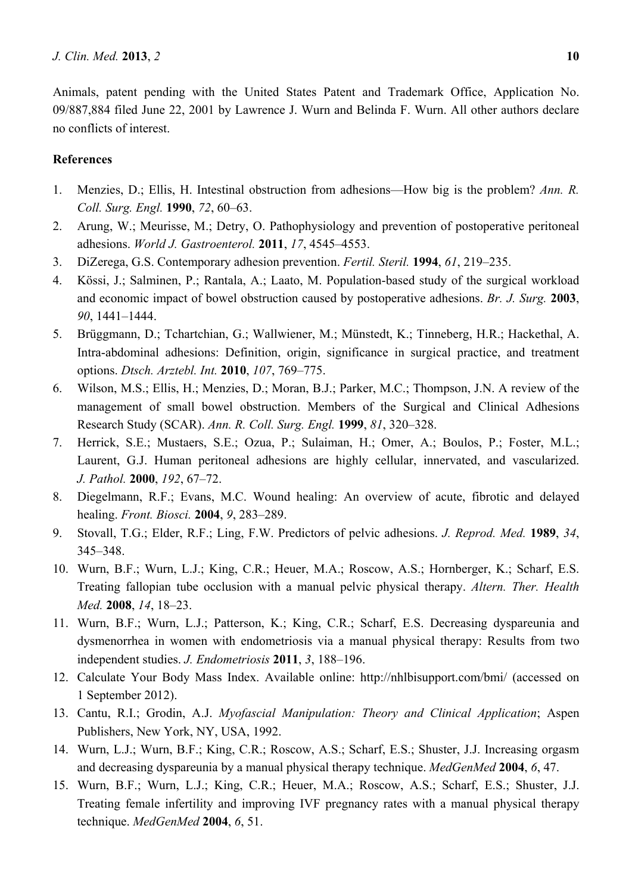Animals, patent pending with the United States Patent and Trademark Office, Application No. 09/887,884 filed June 22, 2001 by Lawrence J. Wurn and Belinda F. Wurn. All other authors declare no conflicts of interest.

## **References**

- 1. Menzies, D.; Ellis, H. Intestinal obstruction from adhesions—How big is the problem? *Ann. R. Coll. Surg. Engl.* **1990**, *72*, 60–63.
- 2. Arung, W.; Meurisse, M.; Detry, O. Pathophysiology and prevention of postoperative peritoneal adhesions. *World J. Gastroenterol.* **2011**, *17*, 4545–4553.
- 3. DiZerega, G.S. Contemporary adhesion prevention. *Fertil. Steril.* **1994**, *61*, 219–235.
- 4. Kössi, J.; Salminen, P.; Rantala, A.; Laato, M. Population-based study of the surgical workload and economic impact of bowel obstruction caused by postoperative adhesions. *Br. J. Surg.* **2003**, *90*, 1441–1444.
- 5. Brüggmann, D.; Tchartchian, G.; Wallwiener, M.; Münstedt, K.; Tinneberg, H.R.; Hackethal, A. Intra-abdominal adhesions: Definition, origin, significance in surgical practice, and treatment options. *Dtsch. Arztebl. Int.* **2010**, *107*, 769–775.
- 6. Wilson, M.S.; Ellis, H.; Menzies, D.; Moran, B.J.; Parker, M.C.; Thompson, J.N. A review of the management of small bowel obstruction. Members of the Surgical and Clinical Adhesions Research Study (SCAR). *Ann. R. Coll. Surg. Engl.* **1999**, *81*, 320–328.
- 7. Herrick, S.E.; Mustaers, S.E.; Ozua, P.; Sulaiman, H.; Omer, A.; Boulos, P.; Foster, M.L.; Laurent, G.J. Human peritoneal adhesions are highly cellular, innervated, and vascularized. *J. Pathol.* **2000**, *192*, 67–72.
- 8. Diegelmann, R.F.; Evans, M.C. Wound healing: An overview of acute, fibrotic and delayed healing. *Front. Biosci.* **2004**, *9*, 283–289.
- 9. Stovall, T.G.; Elder, R.F.; Ling, F.W. Predictors of pelvic adhesions. *J. Reprod. Med.* **1989**, *34*, 345–348.
- 10. Wurn, B.F.; Wurn, L.J.; King, C.R.; Heuer, M.A.; Roscow, A.S.; Hornberger, K.; Scharf, E.S. Treating fallopian tube occlusion with a manual pelvic physical therapy. *Altern. Ther. Health Med.* **2008**, *14*, 18–23.
- 11. Wurn, B.F.; Wurn, L.J.; Patterson, K.; King, C.R.; Scharf, E.S. Decreasing dyspareunia and dysmenorrhea in women with endometriosis via a manual physical therapy: Results from two independent studies. *J. Endometriosis* **2011**, *3*, 188–196.
- 12. Calculate Your Body Mass Index. Available online: http://nhlbisupport.com/bmi/ (accessed on 1 September 2012).
- 13. Cantu, R.I.; Grodin, A.J. *Myofascial Manipulation: Theory and Clinical Application*; Aspen Publishers, New York, NY, USA, 1992.
- 14. Wurn, L.J.; Wurn, B.F.; King, C.R.; Roscow, A.S.; Scharf, E.S.; Shuster, J.J. Increasing orgasm and decreasing dyspareunia by a manual physical therapy technique. *MedGenMed* **2004**, *6*, 47.
- 15. Wurn, B.F.; Wurn, L.J.; King, C.R.; Heuer, M.A.; Roscow, A.S.; Scharf, E.S.; Shuster, J.J. Treating female infertility and improving IVF pregnancy rates with a manual physical therapy technique. *MedGenMed* **2004**, *6*, 51.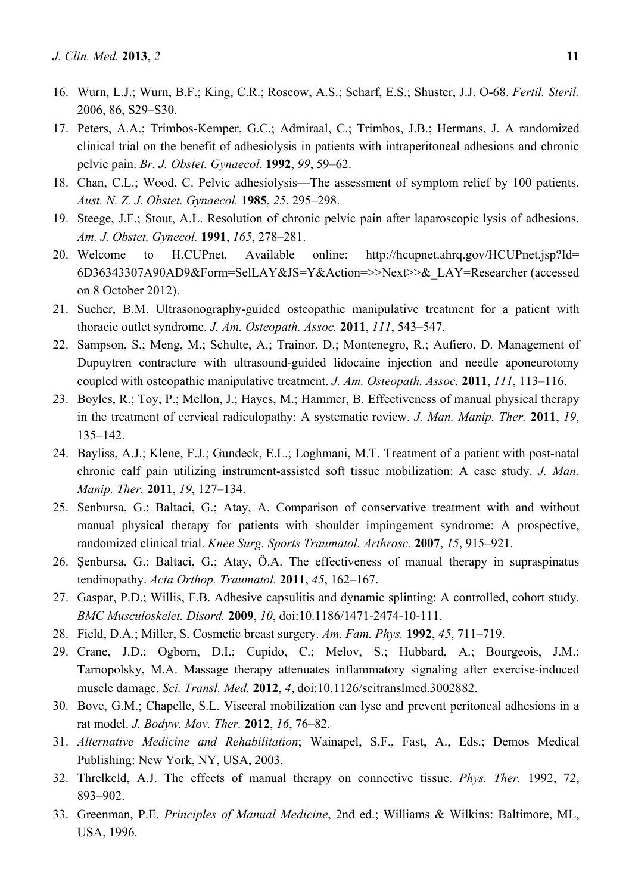- 16. Wurn, L.J.; Wurn, B.F.; King, C.R.; Roscow, A.S.; Scharf, E.S.; Shuster, J.J. O-68. *Fertil. Steril.* 2006, 86, S29–S30.
- 17. Peters, A.A.; Trimbos-Kemper, G.C.; Admiraal, C.; Trimbos, J.B.; Hermans, J. A randomized clinical trial on the benefit of adhesiolysis in patients with intraperitoneal adhesions and chronic pelvic pain. *Br. J. Obstet. Gynaecol.* **1992**, *99*, 59–62.
- 18. Chan, C.L.; Wood, C. Pelvic adhesiolysis—The assessment of symptom relief by 100 patients. *Aust. N. Z. J. Obstet. Gynaecol.* **1985**, *25*, 295–298.
- 19. Steege, J.F.; Stout, A.L. Resolution of chronic pelvic pain after laparoscopic lysis of adhesions. *Am. J. Obstet. Gynecol.* **1991**, *165*, 278–281.
- 20. Welcome to H.CUPnet. Available online: http://hcupnet.ahrq.gov/HCUPnet.jsp?Id= 6D36343307A90AD9&Form=SelLAY&JS=Y&Action=>>Next>>&\_LAY=Researcher (accessed on 8 October 2012).
- 21. Sucher, B.M. Ultrasonography-guided osteopathic manipulative treatment for a patient with thoracic outlet syndrome. *J. Am. Osteopath. Assoc.* **2011**, *111*, 543–547.
- 22. Sampson, S.; Meng, M.; Schulte, A.; Trainor, D.; Montenegro, R.; Aufiero, D. Management of Dupuytren contracture with ultrasound-guided lidocaine injection and needle aponeurotomy coupled with osteopathic manipulative treatment. *J. Am. Osteopath. Assoc.* **2011**, *111*, 113–116.
- 23. Boyles, R.; Toy, P.; Mellon, J.; Hayes, M.; Hammer, B. Effectiveness of manual physical therapy in the treatment of cervical radiculopathy: A systematic review. *J. Man. Manip. Ther.* **2011**, *19*, 135–142.
- 24. Bayliss, A.J.; Klene, F.J.; Gundeck, E.L.; Loghmani, M.T. Treatment of a patient with post-natal chronic calf pain utilizing instrument-assisted soft tissue mobilization: A case study. *J. Man. Manip. Ther.* **2011**, *19*, 127–134.
- 25. Senbursa, G.; Baltaci, G.; Atay, A. Comparison of conservative treatment with and without manual physical therapy for patients with shoulder impingement syndrome: A prospective, randomized clinical trial. *Knee Surg. Sports Traumatol. Arthrosc.* **2007**, *15*, 915–921.
- 26. Şenbursa, G.; Baltaci, G.; Atay, Ö.A. The effectiveness of manual therapy in supraspinatus tendinopathy. *Acta Orthop. Traumatol.* **2011**, *45*, 162–167.
- 27. Gaspar, P.D.; Willis, F.B. Adhesive capsulitis and dynamic splinting: A controlled, cohort study. *BMC Musculoskelet. Disord.* **2009**, *10*, doi:10.1186/1471-2474-10-111.
- 28. Field, D.A.; Miller, S. Cosmetic breast surgery. *Am. Fam. Phys.* **1992**, *45*, 711–719.
- 29. Crane, J.D.; Ogborn, D.I.; Cupido, C.; Melov, S.; Hubbard, A.; Bourgeois, J.M.; Tarnopolsky, M.A. Massage therapy attenuates inflammatory signaling after exercise-induced muscle damage. *Sci. Transl. Med.* **2012**, *4*, doi:10.1126/scitranslmed.3002882.
- 30. Bove, G.M.; Chapelle, S.L. Visceral mobilization can lyse and prevent peritoneal adhesions in a rat model. *J. Bodyw. Mov. Ther.* **2012**, *16*, 76–82.
- 31. *Alternative Medicine and Rehabilitation*; Wainapel, S.F., Fast, A., Eds.; Demos Medical Publishing: New York, NY, USA, 2003.
- 32. Threlkeld, A.J. The effects of manual therapy on connective tissue. *Phys. Ther.* 1992, 72, 893–902.
- 33. Greenman, P.E. *Principles of Manual Medicine*, 2nd ed.; Williams & Wilkins: Baltimore, ML, USA, 1996.